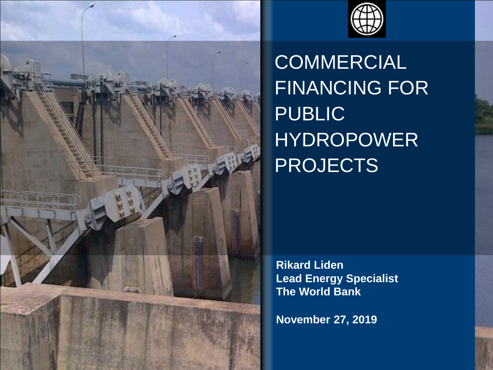



**COMMERCIAL** FINANCING FOR PUBLIC HYDROPOWER PROJECTS

**Rikard Liden Lead Energy Specialist The World Bank**

**November 27, 2019**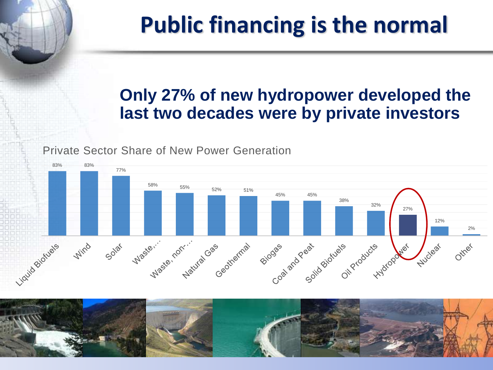# **Public financing is the normal**

## **Only 27% of new hydropower developed the last two decades were by private investors**

Private Sector Share of New Power Generation



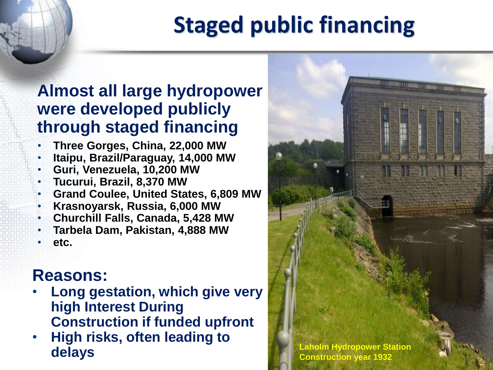# **Staged public financing**

## **Almost all large hydropower were developed publicly through staged financing**

• **Three Gorges, China, 22,000 MW** • **Itaipu, Brazil/Paraguay, 14,000 MW** • **Guri, Venezuela, 10,200 MW** • **Tucurui, Brazil, 8,370 MW** • **Grand Coulee, United States, 6,809 MW** • **Krasnoyarsk, Russia, 6,000 MW** • **Churchill Falls, Canada, 5,428 MW** • **Tarbela Dam, Pakistan, 4,888 MW** • **etc.**

### **Reasons:**

- **Long gestation, which give very high Interest During Construction if funded upfront**
- **High risks, often leading to delays** *Construction vear* 1932

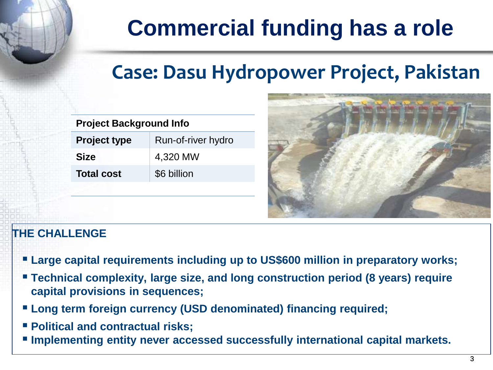# **Commercial funding has a role**

## **Case: Dasu Hydropower Project, Pakistan**

| <b>Project Background Info</b> |                    |
|--------------------------------|--------------------|
| <b>Project type</b>            | Run-of-river hydro |
| <b>Size</b>                    | 4,320 MW           |
| <b>Total cost</b>              | \$6 billion        |
|                                |                    |



#### **THE CHALLENGE**

- Large capital requirements including up to US\$600 million in preparatory works;
- Technical complexity, large size, and long construction period (8 years) require **capital provisions in sequences;**
- **Long term foreign currency (USD denominated) financing required;**
- **Political and contractual risks;**
- **Implementing entity never accessed successfully international capital markets.**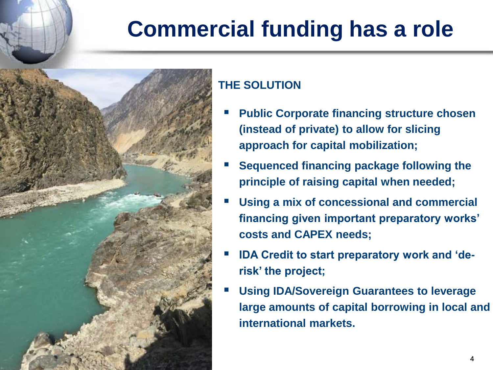# **Commercial funding has a role**



### **THE SOLUTION**

- **Public Corporate financing structure chosen (instead of private) to allow for slicing approach for capital mobilization;**
- **Sequenced financing package following the principle of raising capital when needed;**
- Using a mix of concessional and commercial **financing given important preparatory works' costs and CAPEX needs;**
- **IDA Credit to start preparatory work and 'derisk' the project;**
- **Using IDA/Sovereign Guarantees to leverage large amounts of capital borrowing in local and international markets.**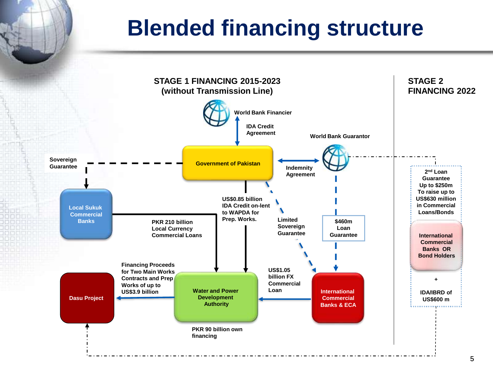## **Blended financing structure**